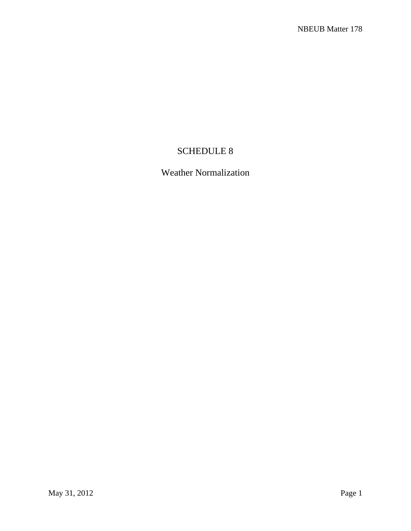## SCHEDULE 8

# Weather Normalization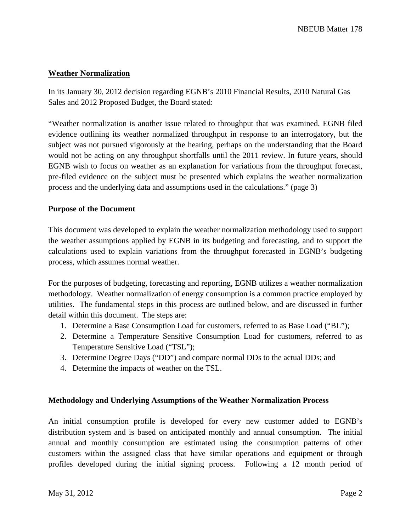#### **Weather Normalization**

In its January 30, 2012 decision regarding EGNB's 2010 Financial Results, 2010 Natural Gas Sales and 2012 Proposed Budget, the Board stated:

"Weather normalization is another issue related to throughput that was examined. EGNB filed evidence outlining its weather normalized throughput in response to an interrogatory, but the subject was not pursued vigorously at the hearing, perhaps on the understanding that the Board would not be acting on any throughput shortfalls until the 2011 review. In future years, should EGNB wish to focus on weather as an explanation for variations from the throughput forecast, pre-filed evidence on the subject must be presented which explains the weather normalization process and the underlying data and assumptions used in the calculations." (page 3)

#### **Purpose of the Document**

This document was developed to explain the weather normalization methodology used to support the weather assumptions applied by EGNB in its budgeting and forecasting, and to support the calculations used to explain variations from the throughput forecasted in EGNB's budgeting process, which assumes normal weather.

For the purposes of budgeting, forecasting and reporting, EGNB utilizes a weather normalization methodology. Weather normalization of energy consumption is a common practice employed by utilities. The fundamental steps in this process are outlined below, and are discussed in further detail within this document. The steps are:

- 1. Determine a Base Consumption Load for customers, referred to as Base Load ("BL");
- 2. Determine a Temperature Sensitive Consumption Load for customers, referred to as Temperature Sensitive Load ("TSL");
- 3. Determine Degree Days ("DD") and compare normal DDs to the actual DDs; and
- 4. Determine the impacts of weather on the TSL.

### **Methodology and Underlying Assumptions of the Weather Normalization Process**

An initial consumption profile is developed for every new customer added to EGNB's distribution system and is based on anticipated monthly and annual consumption. The initial annual and monthly consumption are estimated using the consumption patterns of other customers within the assigned class that have similar operations and equipment or through profiles developed during the initial signing process. Following a 12 month period of